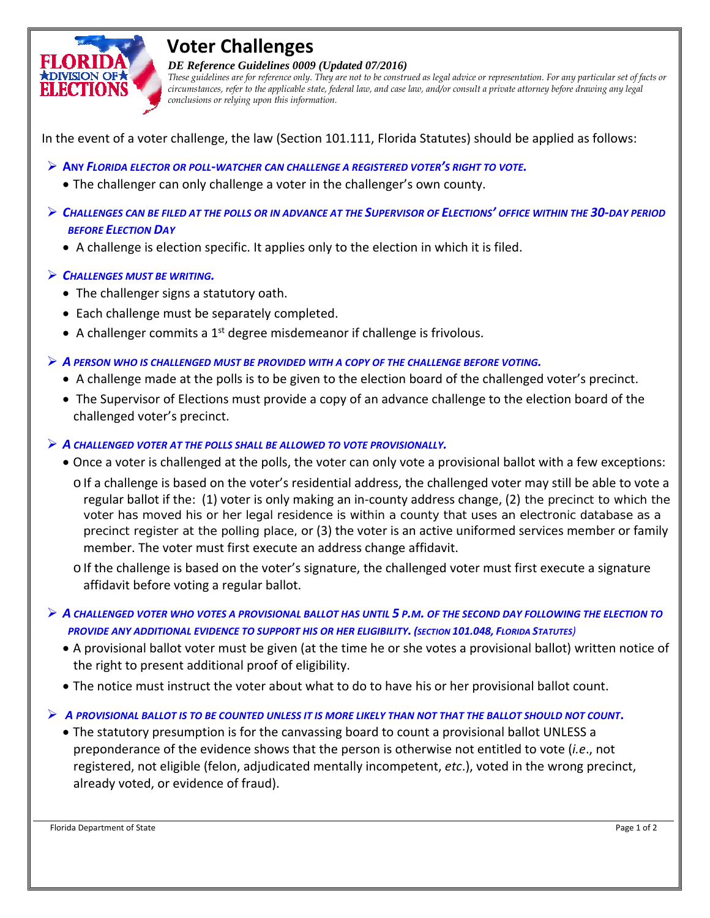

## **Voter Challenges**

*DE Reference Guidelines 0009 (Updated 07/2016)* 

*These guidelines are for reference only. They are not to be construed as legal advice or representation. For any particular set of facts or circumstances, refer to the applicable state, federal law, and case law, and/or consult a private attorney before drawing any legal conclusions or relying upon this information.* 

In the event of a voter challenge, the law (Section 101.111, Florida Statutes) should be applied as follows:

- $\triangleright$  ANY FLORIDA ELECTOR OR POLL-WATCHER CAN CHALLENGE A REGISTERED VOTER'S RIGHT TO VOTE.
	- The challenger can only challenge a voter in the challenger's own county.
- $\triangleright$  CHALLENGES CAN BE FILED AT THE POLLS OR IN ADVANCE AT THE SUPERVISOR OF ELECTIONS' OFFICE WITHIN THE 30-DAY PERIOD  *BEFORE ELECTION DAY*
	- A challenge is election specific. It applies only to the election in which it is filed.

## *CHALLENGES MUST BE WRITING.*

- The challenger signs a statutory oath.
- Each challenge must be separately completed.
- $\bullet$  A challenger commits a 1<sup>st</sup> degree misdemeanor if challenge is frivolous.
- $\triangleright$  A PERSON WHO IS CHALLENGED MUST BE PROVIDED WITH A COPY OF THE CHALLENGE BEFORE VOTING.
	- A challenge made at the polls is to be given to the election board of the challenged voter's precinct.
	- The Supervisor of Elections must provide a copy of an advance challenge to the election board of the challenged voter's precinct.
- *A CHALLENGED VOTER AT THE POLLS SHALL BE ALLOWED TO VOTE PROVISIONALLY.*
	- Once a voter is challenged at the polls, the voter can only vote a provisional ballot with a few exceptions: o If a challenge is based on the voter's residential address, the challenged voter may still be able to vote a regular ballot if the: (1) voter is only making an in‐county address change, (2) the precinct to which the precinct register at the polling place, or (3) the voter is an active uniformed services member or family member. The voter must first execute an address change affidavit. voter has moved his or her legal residence is within a county that uses an electronic database as a
		- o If the challenge is based on the voter's signature, the challenged voter must first execute a signature affidavit before voting a regular ballot.
- $\triangleright$  A CHALLENGED VOTER WHO VOTES A PROVISIONAL BALLOT HAS UNTIL 5 P.M. OF THE SECOND DAY FOLLOWING THE ELECTION TO PROVIDE ANY ADDITIONAL EVIDENCE TO SUPPORT HIS OR HER ELIGIBILITY. (SECTION 101.048, FLORIDA STATUTES)
	- A provisional ballot voter must be given (at the time he or she votes a provisional ballot) written notice of the right to present additional proof of eligibility.
	- The notice must instruct the voter about what to do to have his or her provisional ballot count.
- $\triangleright$  A PROVISIONAL BALLOT IS TO BE COUNTED UNLESS IT IS MORE LIKELY THAN NOT THAT THE BALLOT SHOULD NOT COUNT.
	- The statutory presumption is for the canvassing board to count a provisional ballot UNLESS a preponderance of the evidence shows that the person is otherwise not entitled to vote (*i.e*., not registered, not eligible (felon, adjudicated mentally incompetent, *etc*.), voted in the wrong precinct, already voted, or evidence of fraud).